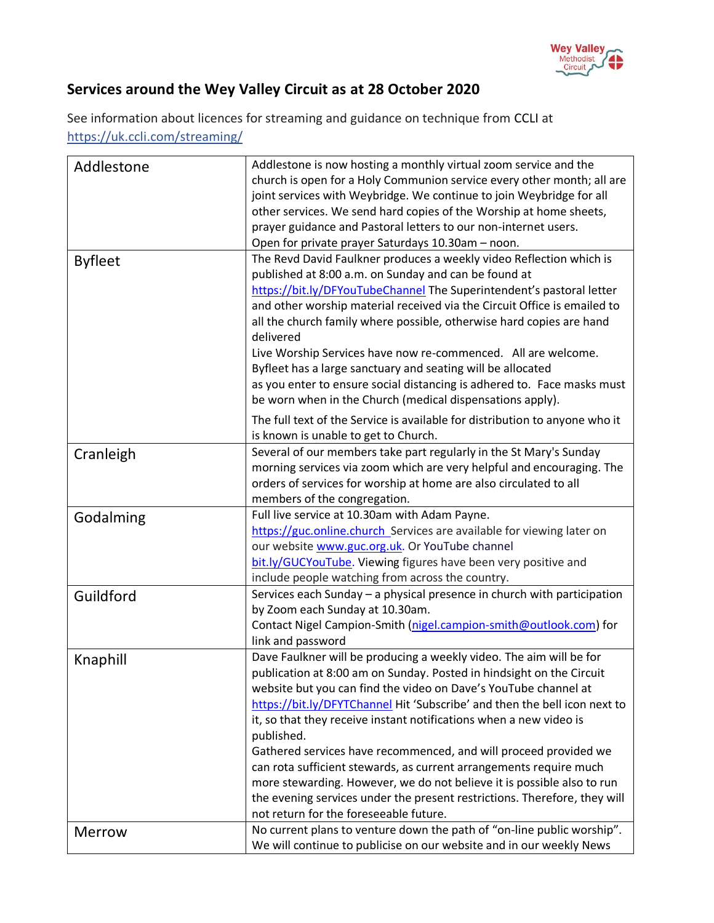

## **Services around the Wey Valley Circuit as at 28 October 2020**

See information about licences for streaming and guidance on technique from [CCLI](https://artserve.us8.list-manage.com/track/click?u=c2d1d9ca953fdf84333ea4bda&id=f3890112bb&e=05716758b6) at https://uk.ccli.com/streaming/

| Addlestone     | Addlestone is now hosting a monthly virtual zoom service and the            |
|----------------|-----------------------------------------------------------------------------|
|                | church is open for a Holy Communion service every other month; all are      |
|                | joint services with Weybridge. We continue to join Weybridge for all        |
|                | other services. We send hard copies of the Worship at home sheets,          |
|                | prayer guidance and Pastoral letters to our non-internet users.             |
|                | Open for private prayer Saturdays 10.30am - noon.                           |
|                | The Revd David Faulkner produces a weekly video Reflection which is         |
| <b>Byfleet</b> | published at 8:00 a.m. on Sunday and can be found at                        |
|                | https://bit.ly/DFYouTubeChannel The Superintendent's pastoral letter        |
|                | and other worship material received via the Circuit Office is emailed to    |
|                | all the church family where possible, otherwise hard copies are hand        |
|                | delivered                                                                   |
|                | Live Worship Services have now re-commenced. All are welcome.               |
|                |                                                                             |
|                | Byfleet has a large sanctuary and seating will be allocated                 |
|                | as you enter to ensure social distancing is adhered to. Face masks must     |
|                | be worn when in the Church (medical dispensations apply).                   |
|                | The full text of the Service is available for distribution to anyone who it |
|                | is known is unable to get to Church.                                        |
| Cranleigh      | Several of our members take part regularly in the St Mary's Sunday          |
|                | morning services via zoom which are very helpful and encouraging. The       |
|                | orders of services for worship at home are also circulated to all           |
|                | members of the congregation.                                                |
| Godalming      | Full live service at 10.30am with Adam Payne.                               |
|                | https://guc.online.church_Services are available for viewing later on       |
|                | our website www.guc.org.uk. Or YouTube channel                              |
|                | bit.ly/GUCYouTube. Viewing figures have been very positive and              |
|                | include people watching from across the country.                            |
| Guildford      | Services each Sunday - a physical presence in church with participation     |
|                | by Zoom each Sunday at 10.30am.                                             |
|                | Contact Nigel Campion-Smith (nigel.campion-smith@outlook.com) for           |
|                | link and password                                                           |
| Knaphill       | Dave Faulkner will be producing a weekly video. The aim will be for         |
|                | publication at 8:00 am on Sunday. Posted in hindsight on the Circuit        |
|                | website but you can find the video on Dave's YouTube channel at             |
|                | https://bit.ly/DFYTChannel Hit 'Subscribe' and then the bell icon next to   |
|                | it, so that they receive instant notifications when a new video is          |
|                | published.                                                                  |
|                | Gathered services have recommenced, and will proceed provided we            |
|                | can rota sufficient stewards, as current arrangements require much          |
|                | more stewarding. However, we do not believe it is possible also to run      |
|                | the evening services under the present restrictions. Therefore, they will   |
|                | not return for the foreseeable future.                                      |
| <b>Merrow</b>  | No current plans to venture down the path of "on-line public worship".      |
|                | We will continue to publicise on our website and in our weekly News         |